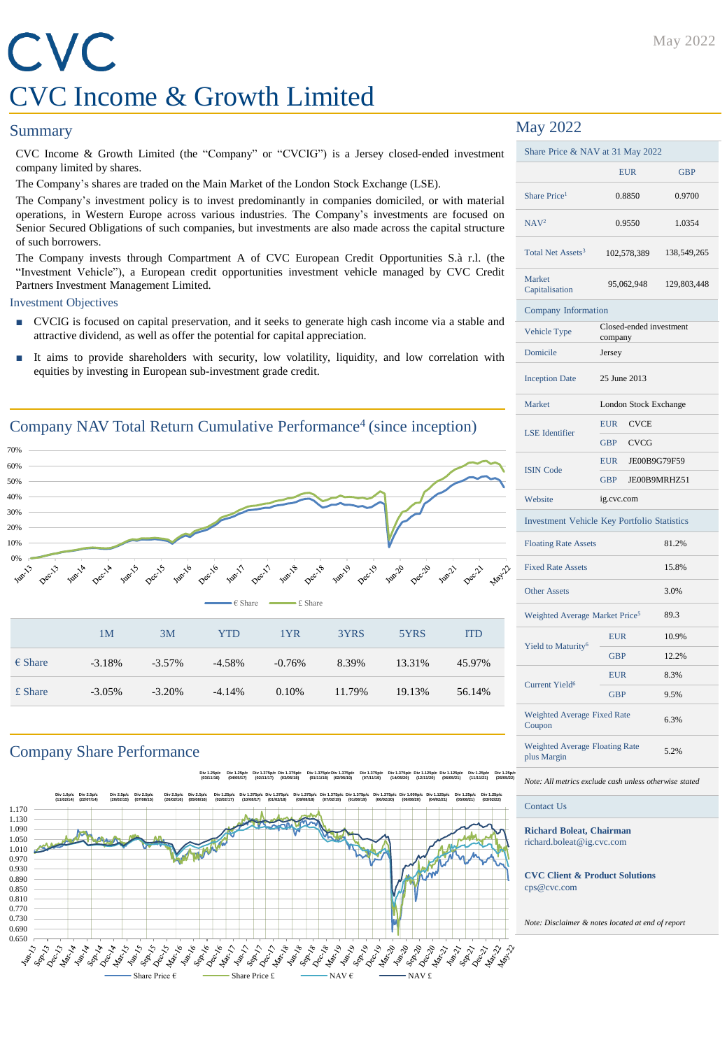#### May 2022

# CVC CVC Income & Growth Limited

### **Summary**

CVC Income & Growth Limited (the "Company" or "CVCIG") is a Jersey closed-ended investment company limited by shares.

The Company's shares are traded on the Main Market of the London Stock Exchange (LSE).

The Company's investment policy is to invest predominantly in companies domiciled, or with material operations, in Western Europe across various industries. The Company's investments are focused on Senior Secured Obligations of such companies, but investments are also made across the capital structure of such borrowers.

The Company invests through Compartment A of CVC European Credit Opportunities S.à r.l. (the "Investment Vehicle"), a European credit opportunities investment vehicle managed by CVC Credit Partners Investment Management Limited.

#### Investment Objectives

- CVCIG is focused on capital preservation, and it seeks to generate high cash income via a stable and attractive dividend, as well as offer the potential for capital appreciation.
- It aims to provide shareholders with security, low volatility, liquidity, and low correlation with equities by investing in European sub-investment grade credit.



### Company Share Performance



**Div 1.375p/c** 

**Div 1.375p/c** 

**Div 1.125p/c** 

**Div 1.125p/c** 



**Div 1.25p/c** 

**Div 1.25p/c** 

**Div 1.375p/c** 

### May 2022

| Share Price & NAV at 31 May 2022                     |                                    |              |  |  |
|------------------------------------------------------|------------------------------------|--------------|--|--|
|                                                      | <b>EUR</b>                         | <b>GBP</b>   |  |  |
| Share Price <sup>1</sup>                             | 0.8850                             | 0.9700       |  |  |
| NAV <sup>2</sup>                                     | 0.9550                             | 1.0354       |  |  |
| Total Net Assets <sup>3</sup>                        | 102,578,389                        | 138,549,265  |  |  |
| Market<br>Capitalisation                             | 95,062,948                         | 129,803,448  |  |  |
| Company Information                                  |                                    |              |  |  |
| Vehicle Type                                         | Closed-ended investment<br>company |              |  |  |
| Domicile                                             | Jersey                             |              |  |  |
| <b>Inception Date</b>                                | 25 June 2013                       |              |  |  |
| Market                                               | London Stock Exchange              |              |  |  |
| <b>LSE</b> Identifier                                | <b>EUR</b><br><b>CVCE</b>          |              |  |  |
|                                                      | <b>GBP</b><br><b>CVCG</b>          |              |  |  |
| <b>ISIN Code</b>                                     | <b>EUR</b>                         | JE00B9G79F59 |  |  |
|                                                      | <b>GBP</b>                         | JE00B9MRHZ51 |  |  |
| Website                                              | ig.cvc.com                         |              |  |  |
| <b>Investment Vehicle Key Portfolio Statistics</b>   |                                    |              |  |  |
| <b>Floating Rate Assets</b>                          |                                    | 81.2%        |  |  |
| <b>Fixed Rate Assets</b>                             |                                    | 15.8%        |  |  |
| <b>Other Assets</b>                                  |                                    | 3.0%         |  |  |
| Weighted Average Market Price <sup>5</sup>           |                                    | 89.3         |  |  |
| Yield to Maturity <sup>6</sup>                       | <b>EUR</b>                         | 10.9%        |  |  |
|                                                      | <b>GBP</b>                         | 12.2%        |  |  |
| Current Yield <sup>6</sup>                           | <b>EUR</b>                         | 8.3%         |  |  |
|                                                      | <b>GBP</b>                         | 9.5%         |  |  |
| Weighted Average Fixed Rate<br>Coupon                |                                    | 6.3%         |  |  |
| <b>Weighted Average Floating Rate</b><br>plus Margin |                                    | 5.2%         |  |  |

#### *Note: All metrics exclude cash unless otherwise stated*

Contact Us

**Richard Boleat, Chairman** richard.boleat@ig.cvc.com

**CVC Client & Product Solutions** cps@cvc.com

*Note: Disclaimer & notes located at end of report*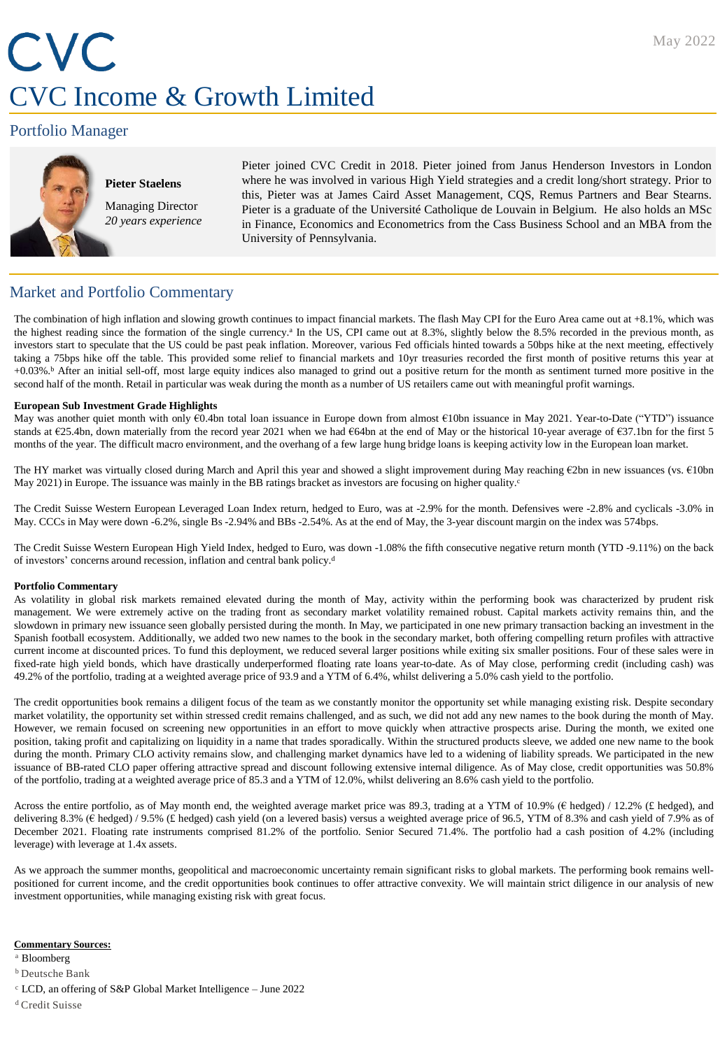# CVC CVC Income & Growth Limited

## Portfolio Manager



**Pieter Staelens** Managing Director *20 years experience* Pieter joined CVC Credit in 2018. Pieter joined from Janus Henderson Investors in London where he was involved in various High Yield strategies and a credit long/short strategy. Prior to this, Pieter was at James Caird Asset Management, CQS, Remus Partners and Bear Stearns. Pieter is a graduate of the Université Catholique de Louvain in Belgium. He also holds an MSc in Finance, Economics and Econometrics from the Cass Business School and an MBA from the University of Pennsylvania.

## Market and Portfolio Commentary

The combination of high inflation and slowing growth continues to impact financial markets. The flash May CPI for the Euro Area came out at +8.1%, which was the highest reading since the formation of the single currency.<sup>a</sup> In the US, CPI came out at 8.3%, slightly below the 8.5% recorded in the previous month, as investors start to speculate that the US could be past peak inflation. Moreover, various Fed officials hinted towards a 50bps hike at the next meeting, effectively taking a 75bps hike off the table. This provided some relief to financial markets and 10yr treasuries recorded the first month of positive returns this year at +0.03%. <sup>b</sup> After an initial sell-off, most large equity indices also managed to grind out a positive return for the month as sentiment turned more positive in the second half of the month. Retail in particular was weak during the month as a number of US retailers came out with meaningful profit warnings.

#### **European Sub Investment Grade Highlights**

May was another quiet month with only €0.4bn total loan issuance in Europe down from almost €10bn issuance in May 2021. Year-to-Date ("YTD") issuance stands at €25.4bn, down materially from the record year 2021 when we had €64bn at the end of May or the historical 10-year average of €37.1bn for the first 5 months of the year. The difficult macro environment, and the overhang of a few large hung bridge loans is keeping activity low in the European loan market.

The HY market was virtually closed during March and April this year and showed a slight improvement during May reaching €2bn in new issuances (vs. €10bn May 2021) in Europe. The issuance was mainly in the BB ratings bracket as investors are focusing on higher quality.<sup>c</sup>

The Credit Suisse Western European Leveraged Loan Index return, hedged to Euro, was at -2.9% for the month. Defensives were -2.8% and cyclicals -3.0% in May. CCCs in May were down -6.2%, single Bs -2.94% and BBs -2.54%. As at the end of May, the 3-year discount margin on the index was 574bps.

The Credit Suisse Western European High Yield Index, hedged to Euro, was down -1.08% the fifth consecutive negative return month (YTD -9.11%) on the back of investors' concerns around recession, inflation and central bank policy. d

#### **Portfolio Commentary**

As volatility in global risk markets remained elevated during the month of May, activity within the performing book was characterized by prudent risk management. We were extremely active on the trading front as secondary market volatility remained robust. Capital markets activity remains thin, and the slowdown in primary new issuance seen globally persisted during the month. In May, we participated in one new primary transaction backing an investment in the Spanish football ecosystem. Additionally, we added two new names to the book in the secondary market, both offering compelling return profiles with attractive current income at discounted prices. To fund this deployment, we reduced several larger positions while exiting six smaller positions. Four of these sales were in fixed-rate high yield bonds, which have drastically underperformed floating rate loans year-to-date. As of May close, performing credit (including cash) was 49.2% of the portfolio, trading at a weighted average price of 93.9 and a YTM of 6.4%, whilst delivering a 5.0% cash yield to the portfolio.

The credit opportunities book remains a diligent focus of the team as we constantly monitor the opportunity set while managing existing risk. Despite secondary market volatility, the opportunity set within stressed credit remains challenged, and as such, we did not add any new names to the book during the month of May. However, we remain focused on screening new opportunities in an effort to move quickly when attractive prospects arise. During the month, we exited one position, taking profit and capitalizing on liquidity in a name that trades sporadically. Within the structured products sleeve, we added one new name to the book during the month. Primary CLO activity remains slow, and challenging market dynamics have led to a widening of liability spreads. We participated in the new issuance of BB-rated CLO paper offering attractive spread and discount following extensive internal diligence. As of May close, credit opportunities was 50.8% of the portfolio, trading at a weighted average price of 85.3 and a YTM of 12.0%, whilst delivering an 8.6% cash yield to the portfolio.

Across the entire portfolio, as of May month end, the weighted average market price was 89.3, trading at a YTM of 10.9% (€ hedged) / 12.2% (£ hedged), and delivering 8.3% (€ hedged) / 9.5% (£ hedged) cash yield (on a levered basis) versus a weighted average price of 96.5, YTM of 8.3% and cash yield of 7.9% as of December 2021. Floating rate instruments comprised 81.2% of the portfolio. Senior Secured 71.4%. The portfolio had a cash position of 4.2% (including leverage) with leverage at 1.4x assets.

As we approach the summer months, geopolitical and macroeconomic uncertainty remain significant risks to global markets. The performing book remains wellpositioned for current income, and the credit opportunities book continues to offer attractive convexity. We will maintain strict diligence in our analysis of new investment opportunities, while managing existing risk with great focus.

#### **Commentary Sources:**

<sup>a</sup> Bloomberg

**b** Deutsche Bank

- <sup>c</sup> LCD, an offering of S&P Global Market Intelligence June 2022
- <sup>d</sup>Credit Suisse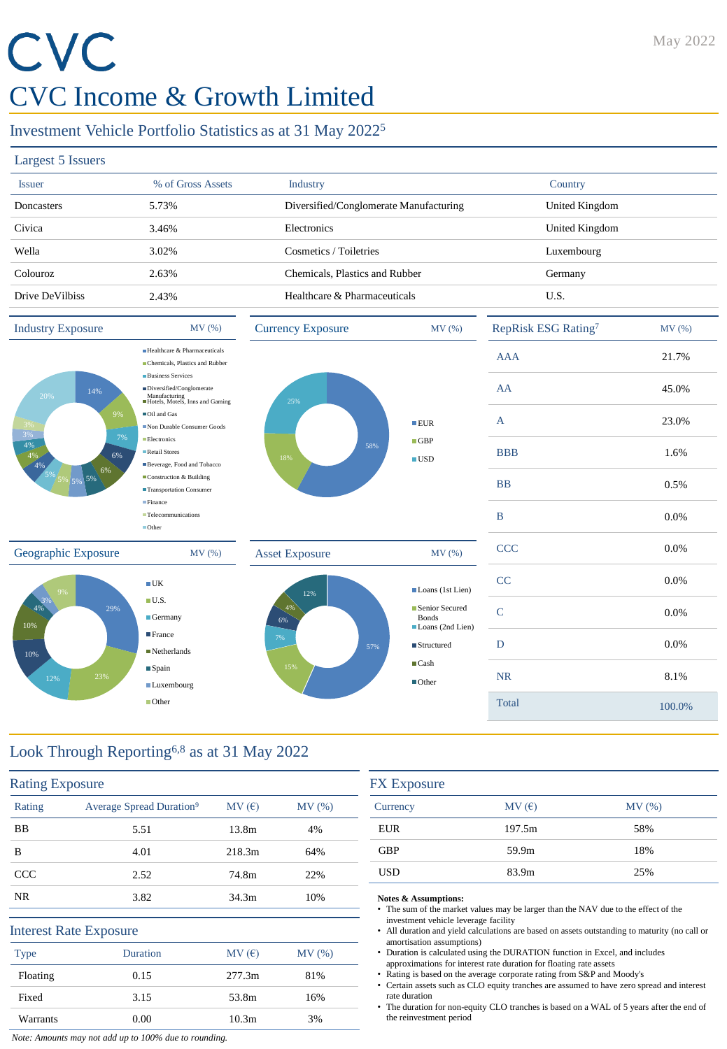# CVC CVC Income & Growth Limited

# Investment Vehicle Portfolio Statistics as at 31 May 2022<sup>5</sup>

#### Largest 5 Issuers

| <b>Issuer</b>   | % of Gross Assets | <b>Industry</b>                        | Country        |
|-----------------|-------------------|----------------------------------------|----------------|
| Doncasters      | 5.73%             | Diversified/Conglomerate Manufacturing | United Kingdom |
| Civica          | 3.46%             | Electronics                            | United Kingdom |
| Wella           | 3.02%             | Cosmetics / Toiletries                 | Luxembourg     |
| Colouroz        | 2.63%             | Chemicals, Plastics and Rubber         | Germany        |
| Drive DeVilbiss | 2.43%             | Healthcare & Pharmaceuticals           | U.S.           |
|                 |                   |                                        |                |



# Look Through Reporting6,8 as at 31 May 2022

| <b>Rating Exposure</b> |                                      |                   |       |
|------------------------|--------------------------------------|-------------------|-------|
| Rating                 | Average Spread Duration <sup>9</sup> | MV(E)             | MV(%) |
| <b>BB</b>              | 5.51                                 | 13.8m             | 4%    |
| B                      | 4.01                                 | 218.3m            | 64%   |
| <b>CCC</b>             | 2.52                                 | 74.8m             | 22%   |
| NR.                    | 3.82                                 | 34.3 <sub>m</sub> | 10%   |
|                        | <b>Interest Rate Exposure</b>        |                   |       |
| <b>Type</b>            | Duration                             | MV(E)             | MV(%) |
| Floating               | 0.15                                 | 277.3m            | 81%   |
| Fixed                  | 3.15                                 | 53.8m             | 16%   |
| Warrants               | 0.00                                 | 10.3 <sub>m</sub> | 3%    |

| MV(E)  | MV(%) |
|--------|-------|
| 197.5m | 58%   |
| 59.9m  | 18%   |
| 83.9m  | 25%   |
|        |       |

#### **Notes & Assumptions:**

- The sum of the market values may be larger than the NAV due to the effect of the investment vehicle leverage facility
- All duration and yield calculations are based on assets outstanding to maturity (no call or amortisation assumptions)
- Duration is calculated using the DURATION function in Excel, and includes approximations for interest rate duration for floating rate assets
- Rating is based on the average corporate rating from S&P and Moody's
- Certain assets such as CLO equity tranches are assumed to have zero spread and interest rate duration
- The duration for non-equity CLO tranches is based on a WAL of 5 years after the end of the reinvestment period

*Note: Amounts may not add up to 100% due to rounding.*